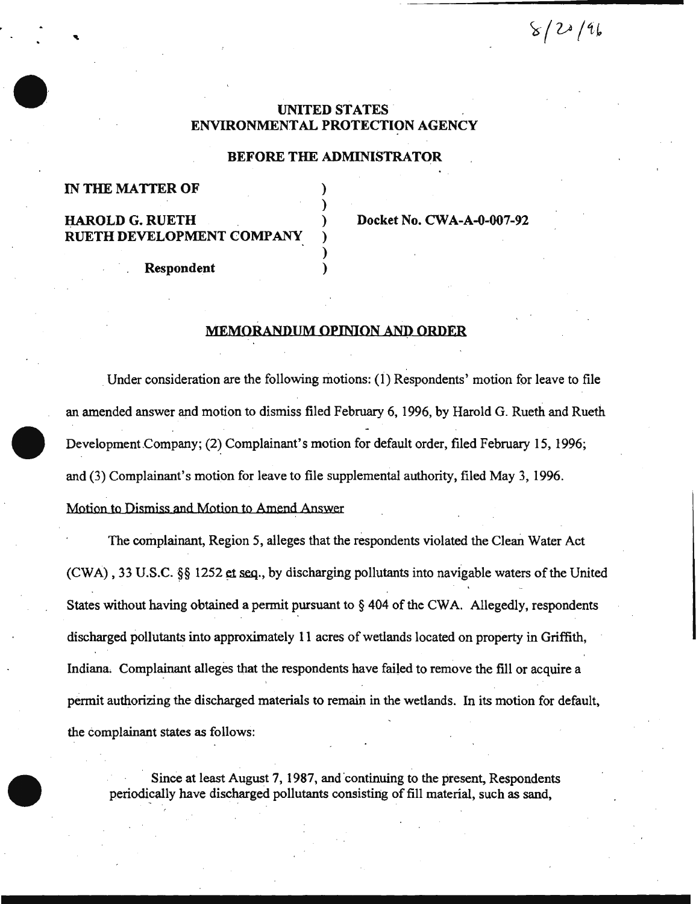$8/20/96$ 

# UNITED STATES ENVIRONMENTAL PROTECTION AGENCY

### BEFORE THE ADMINISTRATOR

)

)

## IN THE MATTER OF

# RUETH DEVELOPMENT COMPANY

HAROLD G. RUETH ) Docket No. CW A-A-0-007-92

Respondent )

# MEMORANDUM OPINION AND ORDER

Under consideration are the following motions: (1) Respondents' motion for leave to file an amended answer and motion to dismiss filed February 6, 1996, by Harold G. Rueth and Rueth Development Company; (2) Complainant's motion for default order, filed February 15, 1996; and (3) Complainant's motion for leave to file supplemental authority, filed May 3, 1996. Motion to Dismiss and Motion to Amend Answer

The complainant, Region 5, alleges that the respondents violated the Clean Water Act (CWA), 33 U.S.C.  $\S$  1252 et seq., by discharging pollutants into navigable waters of the United States without having obtained a permit pursuant to  $\S$  404 of the CWA. Allegedly, respondents discharged pollutants into approximately 11 acres of wetlands located on property in Griffith, Indiana. Complainant alleges that the respondents have failed to remove the fill or acquire a permit authorizing the discharged materials to remain in the wetlands. In its motion for default, the complainant states as follows:

Since at least August 7, 1987, and continuing to the present, Respondents periodically have discharged pollutants consisting of fill material, such as sand,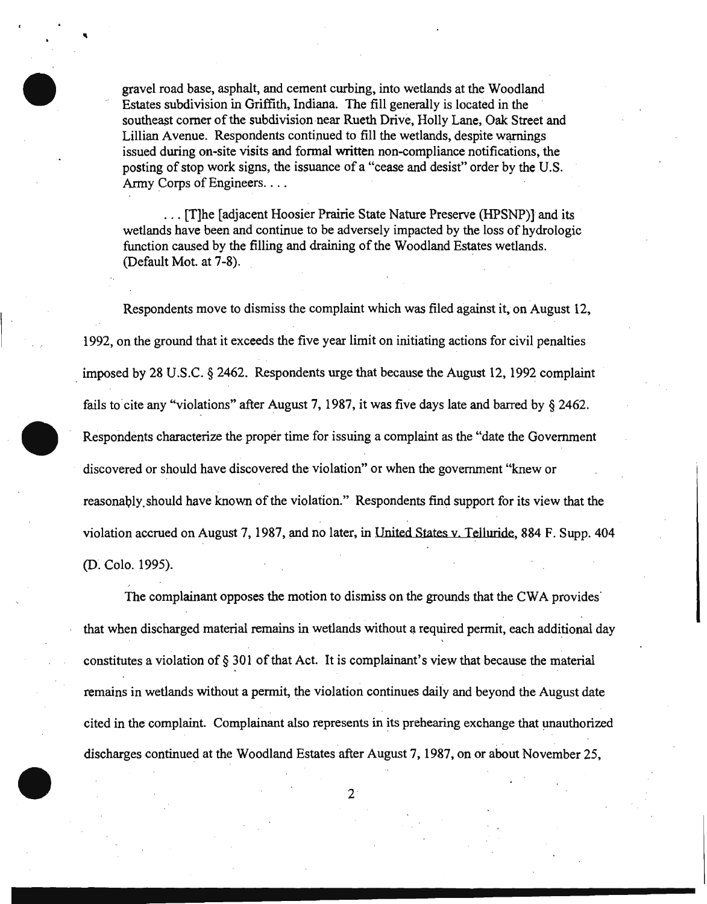gravel road base, asphalt, and cement curbing, into wetlands at the Woodland Estates subdivision in Griffith, Indiana. The fill generally is located in the southeast corner of the subdivision near Rueth Drive, Holly Lane, Oak Street and Lillian Avenue. Respondents continued to fill the wetlands, despite warnings issued during on-site visits and formal written non-compliance notifications, the posting of stop work signs, the issuance of a "cease and desist" order by the U.S. Army Corps of Engineers....

'

. . . [T]he [adjacent Hoosier Prairie State Nature Preserve (HPSNP)J and its wetlands have been and continue to be adversely impacted by the loss of hydrologic function caused by the filling and draining of the Woodland Estates wetlands. (Default Mot. at 7-8).

Respondents move to dismiss the complaint which was filed against it, on August 12, 1992, on the ground that it exceeds the five year limit on initiating actions for civil penalties . imposed by 28 U.S.C. § 2462. Respondents urge that because the August 12, 1992 complaint fails to cite any "violations" after August 7, 1987, it was five days late and barred by § 2462. Respondents characterize the proper time for issuing a complaint as the "date the Government discovered or should have discovered the violation" or when the government "knew or reasonably should have known of the violation." Respondents find support for its view that the violation accrued on August 7, 1987, and no later, in United States v. Telluride, 884 F. Supp. 404 (D. Colo. 1995).

The complainant opposes the motion to dismiss on the grounds that the CWA provides' that when discharged material remains in wetlands without a required permit, each additional day constitutes a violation of§ 301 of that Act. It is complainant's view that because the material remains in wetlands without a permit, the violation continues daily and beyond the August date cited in the complaint. Complainant also represents in its prehearing exchange that unauthorized ' ' discharges continued at the Woodland Estates after August 7, 1987, on or about November25,

2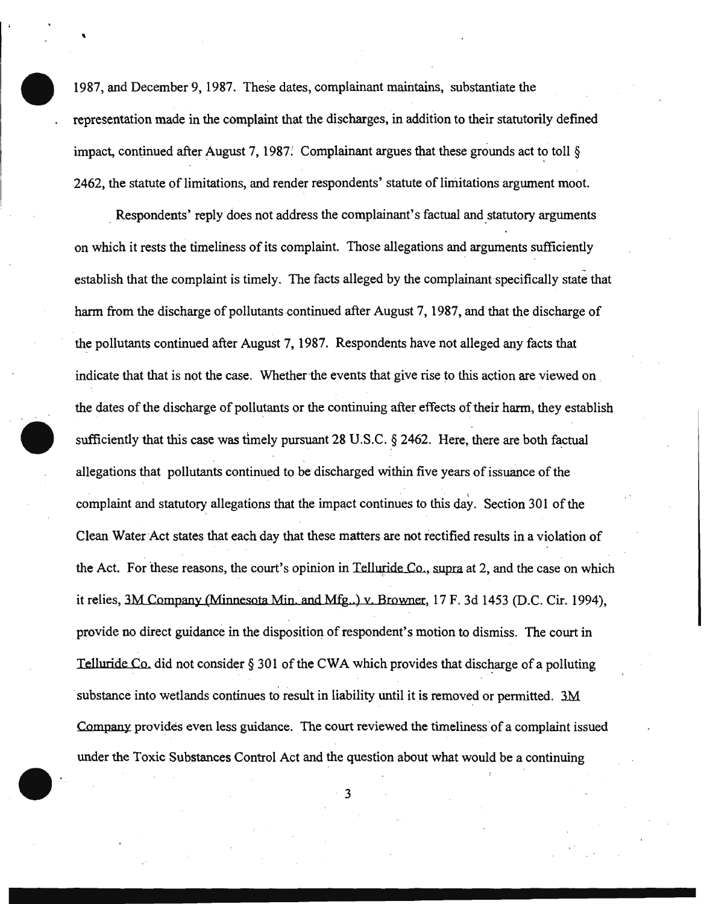1987, and December 9, 1987. These dates, complainant maintains, substantiate the representation made in the complaint that the discharges, in addition to their statutorily defmed impact, continued after August 7, 1987. Complainant argues that these grounds act to toll § 2462, the statute of limitations, and render respondents' statute of limitations argument moot.

'

Respondents' reply does not address the complainant's factual and statutory arguments on which it rests the timeliness of its complaint. Those allegations and arguments sufficiently establish that the complaint is timely. The facts alleged by the complainant specifically state that harm from the discharge of pollutants continued after August 7, 1987, and that the discharge of the pollutants continued after August 7, 1987. Respondents have not alleged any facts that indicate that that is not the case. Whether the events that give rise to this action are viewed on the dates of the discharge of pollutants or the continuing after effects of their harm, they establish sufficiently that this case was timely pursuant 28 U.S.C.  $\S$  2462. Here, there are both factual allegations that pollutants continued to be discharged within five years of issuance of the complaint and statutory allegations that the impact continues to this day. Section 301 of the Clean Water Act states that each day that these matters are not rectified results in a violation of the Act. For these reasons, the court's opinion in Telluride Co., supra at 2, and the case on which it relies, 3M Company (Minnesota Min. and Mfg..) v. Browner, 17 F. 3d 1453 (D.C. Cir. 1994), provide no direct guidance in the disposition of respondent's motion to dismiss. The court in Telluride Co, did not consider  $\S 301$  of the CWA which provides that discharge of a polluting substance into wetlands continues to result in liability until it is removed or permitted. 3M Company provides even less guidance. The court reviewed the timeliness of a complaint issued under the Toxic Substances Control Act and the question about what would be a continuing

3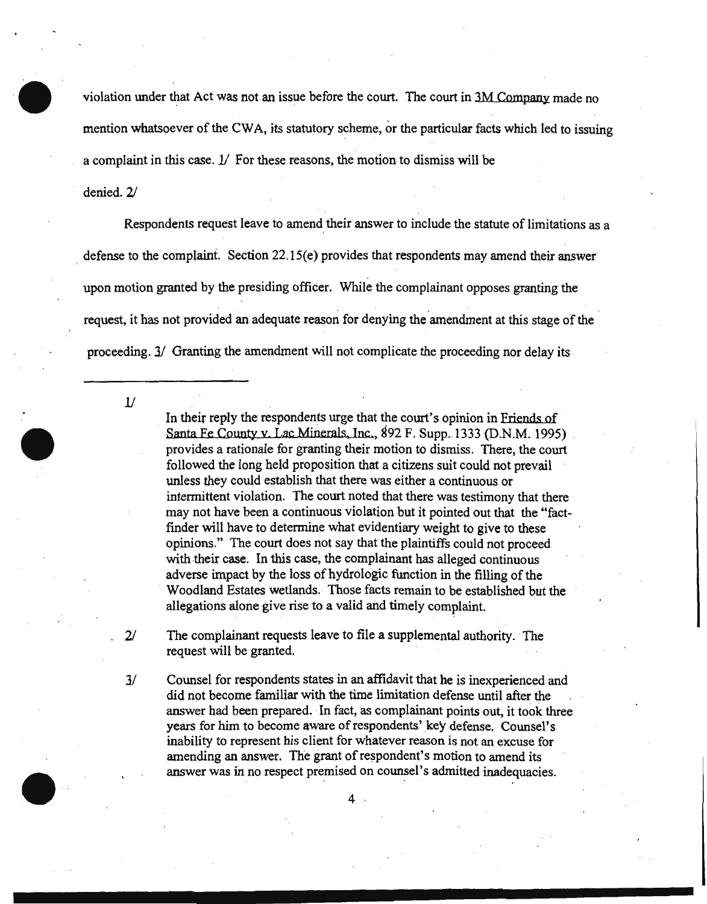violation under that Act was not an issue before the court. The court in 3M Company made no mention whatsoever of the CW A, its statutory scheme, or the particular facts which led to issuing a complaint in this case.  $1/$  For these reasons, the motion to dismiss will be

denied. 2/

Respondents request leave to amend their answer to include the statute of limitations as a defense to the complaint. Section  $22.15(e)$  provides that respondents may amend their answer upon motion granted by the presiding officer. While the complainant opposes granting the . . request, it has not provided an adequate reason for denying the amendment at this stage of the proceeding. 3/ Granting the amendment will not complicate the proceeding nor delay its

*11* 

In their reply the respondents urge that the court's opinion in Friends of Santa Fe County v. Lac Minerals, Inc., 892 F. Supp. 1333 (D.N.M. 1995) provides a rationale for granting their motion to dismiss. There, the court followed the long held proposition that a citizens suit could not prevail unless they could establish that there was. either a continuous or intermittent violation. The court noted that there was testimony that there may not have been a continuous violation but it pointed out that the "factfinder will have to determine what evidentiary weight to give to these opinions." The court does not say that the plaintiffs could not proceed with their case. In this case, the complainant has alleged continuous adverse impact by the loss of hydrologic function in the filling of the Woodland Estates wetlands. Those facts remain to be established but the allegations alone give rise to a valid and timely complaint.

 $2/$  The complainant requests leave to file a supplemental authority. The request will be granted.

3/ Counsel for respondents states in an affidavit that he is inexperienced and did not become familiar with the time limitation defense until after the answer had been prepared. In fact, as complainant points out, it took three years for him to become aware of respondents' key defense. Counsel's inability to represent his client for whatever reason is not an excuse for amending an answer. The grant of respondent's motion to amend its answer was in no respect premised on counsel's admitted inadequacies.

 $\overline{4}$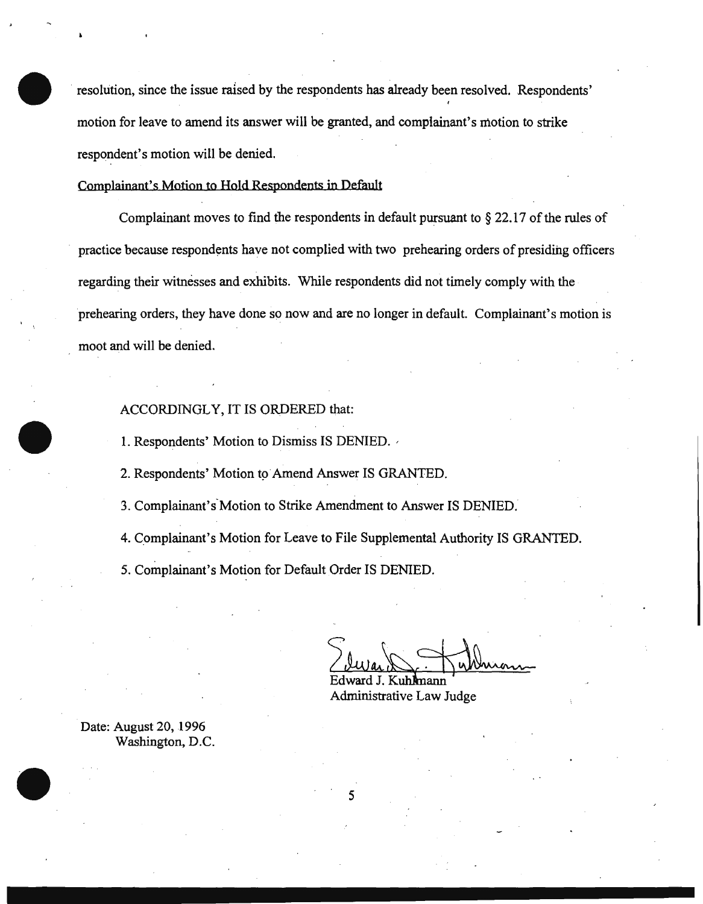resolution, since the issue raised by the respondents has already been resolved. Respondents' ' motion for leave to amend its answer will be granted, and complainant's motion to strike respondent's motion will be denied.

Complainant's Motion to Hold Respondents in Default

Complainant moves to find the respondents in default pursuant to § 22.17 of the rules of practice because respondents have not complied with two prehearing orders of presiding officers regarding their witnesses and exhibits. While respondents did not timely comply with the prehearing orders, they have done so now and are no longer in default. Complainant's motion is moot and will be denied.

#### ACCORDINGLY, IT IS ORDERED that:

1. Respondents' Motion to Dismiss IS DENIED. ,

2. Respondents' Motion to Amend Answer IS GRANTED.

3. Complainant's Motion to Strike Amendment to Answer IS DENIED.

4. Complainant's Motion for Leave to File Supplemental Authority IS GRANTED.

s

5. Complainant's Motion for Default Order IS DENIED.

Edward J. Kuhmann

Administrative Law Judge

Date: August 20, 1996 Washington, D.C.